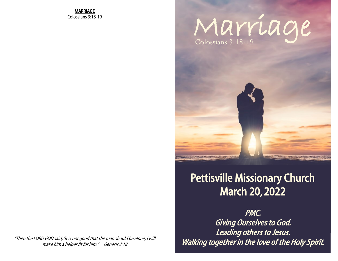MARRIAGE Colossians 3:18-19

## Marriage Colossians 3:18-19



## Pettisville Missionary Church March 20, 2022

PMC. Giving Ourselves to God. Leading others to Jesus. Walking together in the love of the Holy Spirit.

"Then the LORD GOD said, 'It is not good that the man should be alone; I will make him a helper fit for him." Genesis 2:18